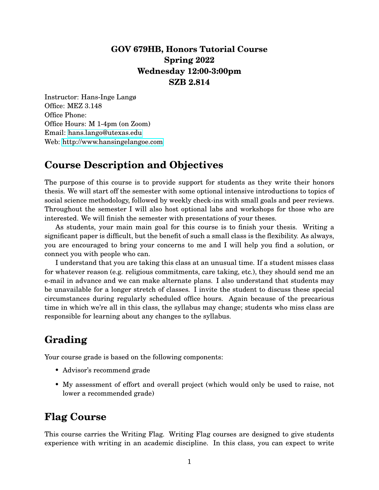### **GOV 679HB, Honors Tutorial Course Spring 2022 Wednesday 12:00-3:00pm SZB 2.814**

Instructor: Hans-Inge Langø Office: MEZ 3.148 Office Phone: Office Hours: M 1-4pm (on Zoom) Email: [hans.lango@utexas.edu](mailto:hans.lango@utexas.edu) Web:<http://www.hansingelangoe.com>

## **Course Description and Objectives**

The purpose of this course is to provide support for students as they write their honors thesis. We will start off the semester with some optional intensive introductions to topics of social science methodology, followed by weekly check-ins with small goals and peer reviews. Throughout the semester I will also host optional labs and workshops for those who are interested. We will finish the semester with presentations of your theses.

As students, your main main goal for this course is to finish your thesis. Writing a significant paper is difficult, but the benefit of such a small class is the flexibility. As always, you are encouraged to bring your concerns to me and I will help you find a solution, or connect you with people who can.

I understand that you are taking this class at an unusual time. If a student misses class for whatever reason (e.g. religious commitments, care taking, etc.), they should send me an e-mail in advance and we can make alternate plans. I also understand that students may be unavailable for a longer stretch of classes. I invite the student to discuss these special circumstances during regularly scheduled office hours. Again because of the precarious time in which we're all in this class, the syllabus may change; students who miss class are responsible for learning about any changes to the syllabus.

# **Grading**

Your course grade is based on the following components:

- Advisor's recommend grade
- My assessment of effort and overall project (which would only be used to raise, not lower a recommended grade)

# **Flag Course**

This course carries the Writing Flag. Writing Flag courses are designed to give students experience with writing in an academic discipline. In this class, you can expect to write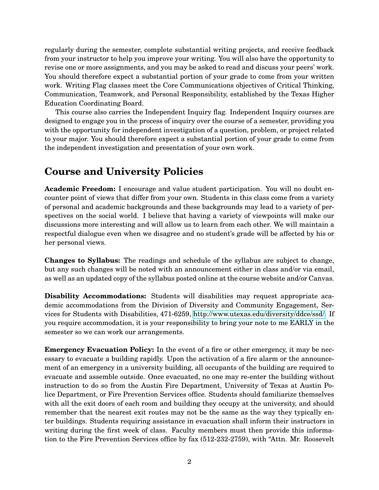regularly during the semester, complete substantial writing projects, and receive feedback from your instructor to help you improve your writing. You will also have the opportunity to revise one or more assignments, and you may be asked to read and discuss your peers' work. You should therefore expect a substantial portion of your grade to come from your written work. Writing Flag classes meet the Core Communications objectives of Critical Thinking, Communication, Teamwork, and Personal Responsibility, established by the Texas Higher Education Coordinating Board.

This course also carries the Independent Inquiry flag. Independent Inquiry courses are designed to engage you in the process of inquiry over the course of a semester, providing you with the opportunity for independent investigation of a question, problem, or project related to your major. You should therefore expect a substantial portion of your grade to come from the independent investigation and presentation of your own work.

### **Course and University Policies**

**Academic Freedom:** I encourage and value student participation. You will no doubt encounter point of views that differ from your own. Students in this class come from a variety of personal and academic backgrounds and these backgrounds may lead to a variety of perspectives on the social world. I believe that having a variety of viewpoints will make our discussions more interesting and will allow us to learn from each other. We will maintain a respectful dialogue even when we disagree and no student's grade will be affected by his or her personal views.

**Changes to Syllabus:** The readings and schedule of the syllabus are subject to change, but any such changes will be noted with an announcement either in class and/or via email, as well as an updated copy of the syllabus posted online at the course website and/or Canvas.

**Disability Accommodations:** Students will disabilities may request appropriate academic accommodations from the Division of Diversity and Community Engagement, Services for Students with Disabilities, 471-6259, [http://www.utexas.edu/diversity/ddce/ssd/.](http://www.utexas.edu/diversity/ddce/ssd/) If you require accommodation, it is your responsibility to bring your note to me EARLY in the semester so we can work our arrangements.

**Emergency Evacuation Policy:** In the event of a fire or other emergency, it may be necessary to evacuate a building rapidly. Upon the activation of a fire alarm or the announcement of an emergency in a university building, all occupants of the building are required to evacuate and assemble outside. Once evacuated, no one may re-enter the building without instruction to do so from the Austin Fire Department, University of Texas at Austin Police Department, or Fire Prevention Services office. Students should familiarize themselves with all the exit doors of each room and building they occupy at the university, and should remember that the nearest exit routes may not be the same as the way they typically enter buildings. Students requiring assistance in evacuation shall inform their instructors in writing during the first week of class. Faculty members must then provide this information to the Fire Prevention Services office by fax (512-232-2759), with "Attn. Mr. Roosevelt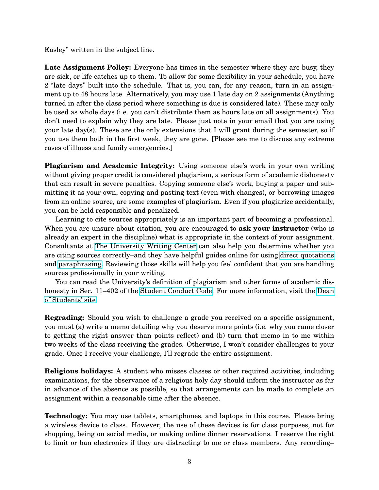Easley" written in the subject line.

**Late Assignment Policy:** Everyone has times in the semester where they are busy, they are sick, or life catches up to them. To allow for some flexibility in your schedule, you have 2 "late days" built into the schedule. That is, you can, for any reason, turn in an assignment up to 48 hours late. Alternatively, you may use 1 late day on 2 assignments (Anything turned in after the class period where something is due is considered late). These may only be used as whole days (i.e. you can't distribute them as hours late on all assignments). You don't need to explain why they are late. Please just note in your email that you are using your late day(s). These are the only extensions that I will grant during the semester, so if you use them both in the first week, they are gone. [Please see me to discuss any extreme cases of illness and family emergencies.]

**Plagiarism and Academic Integrity:** Using someone else's work in your own writing without giving proper credit is considered plagiarism, a serious form of academic dishonesty that can result in severe penalties. Copying someone else's work, buying a paper and submitting it as your own, copying and pasting text (even with changes), or borrowing images from an online source, are some examples of plagiarism. Even if you plagiarize accidentally, you can be held responsible and penalized.

Learning to cite sources appropriately is an important part of becoming a professional. When you are unsure about citation, you are encouraged to **ask your instructor** (who is already an expert in the discipline) what is appropriate in the context of your assignment. Consultants at [The University Writing Center](http://uwc.utexas.edu/) can also help you determine whether you are citing sources correctly–and they have helpful guides online for using [direct quotations](http://uwc.utexas.edu/handouts/direct-quotations-using-and-framing/) and [paraphrasing.](http://uwc.utexas.edu/handouts/paraphrasing/) Reviewing those skills will help you feel confident that you are handling sources professionally in your writing.

You can read the University's definition of plagiarism and other forms of academic dishonesty in Sec. 11–402 of the [Student Conduct Code.](https://catalog.utexas.edu/general-information/appendices/appendix-c/student-discipline-and-conduct/) For more information, visit the [Dean](http://deanofstudents.utexas.edu/conduct/) [of Students' site.](http://deanofstudents.utexas.edu/conduct/)

**Regrading:** Should you wish to challenge a grade you received on a specific assignment, you must (a) write a memo detailing why you deserve more points (i.e. why you came closer to getting the right answer than points reflect) and (b) turn that memo in to me within two weeks of the class receiving the grades. Otherwise, I won't consider challenges to your grade. Once I receive your challenge, I'll regrade the entire assignment.

**Religious holidays:** A student who misses classes or other required activities, including examinations, for the observance of a religious holy day should inform the instructor as far in advance of the absence as possible, so that arrangements can be made to complete an assignment within a reasonable time after the absence.

**Technology:** You may use tablets, smartphones, and laptops in this course. Please bring a wireless device to class. However, the use of these devices is for class purposes, not for shopping, being on social media, or making online dinner reservations. I reserve the right to limit or ban electronics if they are distracting to me or class members. Any recording–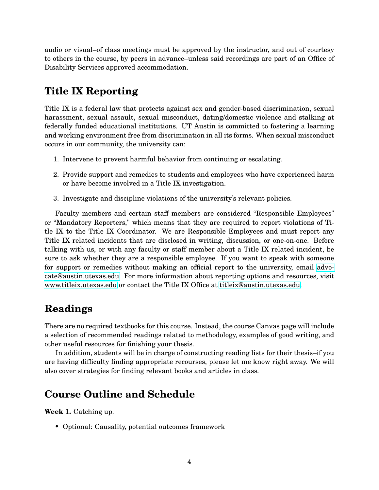audio or visual–of class meetings must be approved by the instructor, and out of courtesy to others in the course, by peers in advance–unless said recordings are part of an Office of Disability Services approved accommodation.

# **Title IX Reporting**

Title IX is a federal law that protects against sex and gender-based discrimination, sexual harassment, sexual assault, sexual misconduct, dating/domestic violence and stalking at federally funded educational institutions. UT Austin is committed to fostering a learning and working environment free from discrimination in all its forms. When sexual misconduct occurs in our community, the university can:

- 1. Intervene to prevent harmful behavior from continuing or escalating.
- 2. Provide support and remedies to students and employees who have experienced harm or have become involved in a Title IX investigation.
- 3. Investigate and discipline violations of the university's relevant policies.

Faculty members and certain staff members are considered "Responsible Employees" or "Mandatory Reporters," which means that they are required to report violations of Title IX to the Title IX Coordinator. We are Responsible Employees and must report any Title IX related incidents that are disclosed in writing, discussion, or one-on-one. Before talking with us, or with any faculty or staff member about a Title IX related incident, be sure to ask whether they are a responsible employee. If you want to speak with someone for support or remedies without making an official report to the university, email [advo](mail:advocate@austin.utexas.edu)[cate@austin.utexas.edu.](mail:advocate@austin.utexas.edu) For more information about reporting options and resources, visit [www.titleix.utexas.edu](https://www.titleix.utexas.edu) or contact the Title IX Office at [titleix@austin.utexas.edu.](mailto:titleix@austin.utexas.edu)

## **Readings**

There are no required textbooks for this course. Instead, the course Canvas page will include a selection of recommended readings related to methodology, examples of good writing, and other useful resources for finishing your thesis.

In addition, students will be in charge of constructing reading lists for their thesis–if you are having difficulty finding appropriate recourses, please let me know right away. We will also cover strategies for finding relevant books and articles in class.

## **Course Outline and Schedule**

**Week 1.** Catching up.

• Optional: Causality, potential outcomes framework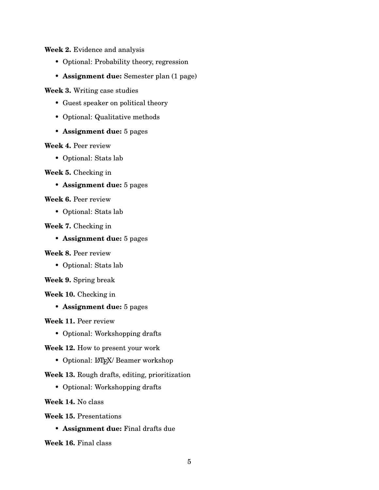**Week 2.** Evidence and analysis

- Optional: Probability theory, regression
- **Assignment due:** Semester plan (1 page)

**Week 3.** Writing case studies

- Guest speaker on political theory
- Optional: Qualitative methods
- **Assignment due:** 5 pages

#### **Week 4.** Peer review

• Optional: Stats lab

#### **Week 5.** Checking in

• **Assignment due:** 5 pages

#### **Week 6.** Peer review

• Optional: Stats lab

#### **Week 7.** Checking in

• **Assignment due:** 5 pages

#### **Week 8.** Peer review

• Optional: Stats lab

#### **Week 9.** Spring break

#### **Week 10.** Checking in

• **Assignment due:** 5 pages

#### **Week 11.** Peer review

• Optional: Workshopping drafts

#### **Week 12.** How to present your work

• Optional: LATFX/ Beamer workshop

#### **Week 13.** Rough drafts, editing, prioritization

• Optional: Workshopping drafts

#### **Week 14.** No class

**Week 15.** Presentations

• **Assignment due:** Final drafts due

**Week 16.** Final class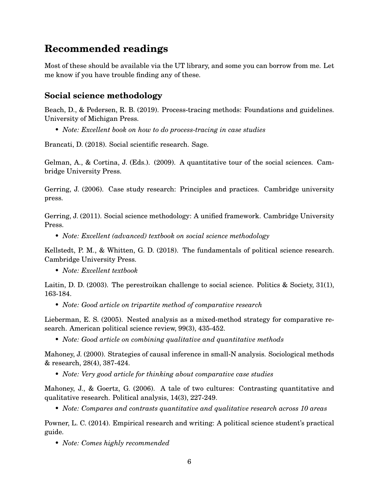## **Recommended readings**

Most of these should be available via the UT library, and some you can borrow from me. Let me know if you have trouble finding any of these.

### **Social science methodology**

Beach, D., & Pedersen, R. B. (2019). Process-tracing methods: Foundations and guidelines. University of Michigan Press.

• *Note: Excellent book on how to do process-tracing in case studies*

Brancati, D. (2018). Social scientific research. Sage.

Gelman, A., & Cortina, J. (Eds.). (2009). A quantitative tour of the social sciences. Cambridge University Press.

Gerring, J. (2006). Case study research: Principles and practices. Cambridge university press.

Gerring, J. (2011). Social science methodology: A unified framework. Cambridge University Press.

• *Note: Excellent (advanced) textbook on social science methodology*

Kellstedt, P. M., & Whitten, G. D. (2018). The fundamentals of political science research. Cambridge University Press.

• *Note: Excellent textbook*

Laitin, D. D. (2003). The perestroikan challenge to social science. Politics & Society, 31(1), 163-184.

• *Note: Good article on tripartite method of comparative research*

Lieberman, E. S. (2005). Nested analysis as a mixed-method strategy for comparative research. American political science review, 99(3), 435-452.

• *Note: Good article on combining qualitative and quantitative methods*

Mahoney, J. (2000). Strategies of causal inference in small-N analysis. Sociological methods & research, 28(4), 387-424.

• *Note: Very good article for thinking about comparative case studies*

Mahoney, J., & Goertz, G. (2006). A tale of two cultures: Contrasting quantitative and qualitative research. Political analysis, 14(3), 227-249.

• *Note: Compares and contrasts quantitative and qualitative research across 10 areas*

Powner, L. C. (2014). Empirical research and writing: A political science student's practical guide.

• *Note: Comes highly recommended*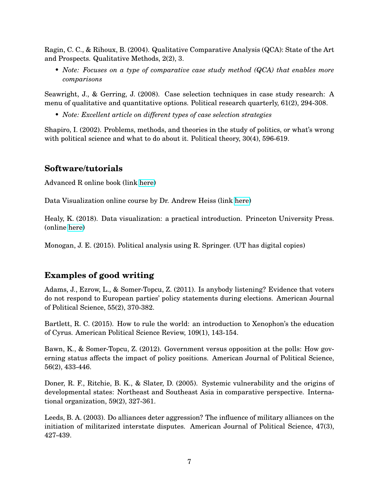Ragin, C. C., & Rihoux, B. (2004). Qualitative Comparative Analysis (QCA): State of the Art and Prospects. Qualitative Methods, 2(2), 3.

• *Note: Focuses on a type of comparative case study method (QCA) that enables more comparisons*

Seawright, J., & Gerring, J. (2008). Case selection techniques in case study research: A menu of qualitative and quantitative options. Political research quarterly, 61(2), 294-308.

• *Note: Excellent article on different types of case selection strategies*

Shapiro, I. (2002). Problems, methods, and theories in the study of politics, or what's wrong with political science and what to do about it. Political theory,  $30(4)$ , 596-619.

### **Software/tutorials**

Advanced R online book (link [here\)](https://adv-r.hadley.nz/index.html)

Data Visualization online course by Dr. Andrew Heiss (link [here\)](https://datavizm20.classes.andrewheiss.com/)

Healy, K. (2018). Data visualization: a practical introduction. Princeton University Press. (online [here\)](https://socviz.co/)

Monogan, J. E. (2015). Political analysis using R. Springer. (UT has digital copies)

### **Examples of good writing**

Adams, J., Ezrow, L., & Somer-Topcu, Z. (2011). Is anybody listening? Evidence that voters do not respond to European parties' policy statements during elections. American Journal of Political Science, 55(2), 370-382.

Bartlett, R. C. (2015). How to rule the world: an introduction to Xenophon's the education of Cyrus. American Political Science Review, 109(1), 143-154.

Bawn, K., & Somer-Topcu, Z. (2012). Government versus opposition at the polls: How governing status affects the impact of policy positions. American Journal of Political Science, 56(2), 433-446.

Doner, R. F., Ritchie, B. K., & Slater, D. (2005). Systemic vulnerability and the origins of developmental states: Northeast and Southeast Asia in comparative perspective. International organization, 59(2), 327-361.

Leeds, B. A. (2003). Do alliances deter aggression? The influence of military alliances on the initiation of militarized interstate disputes. American Journal of Political Science, 47(3), 427-439.